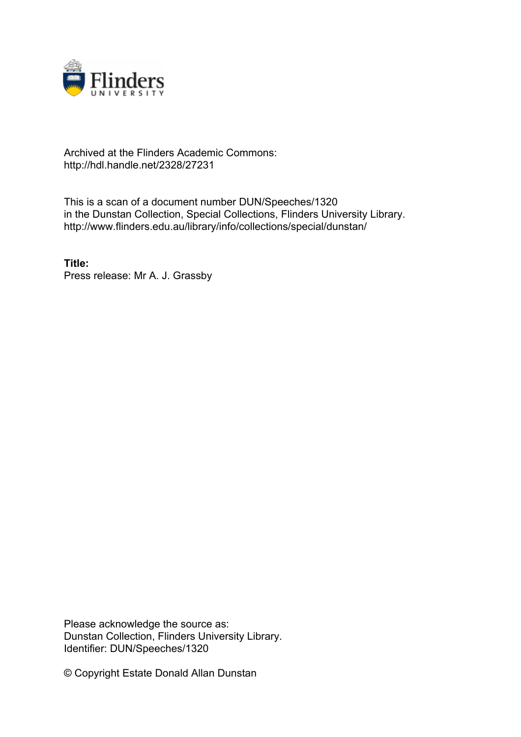

## Archived at the Flinders Academic Commons: http://hdl.handle.net/2328/27231

This is a scan of a document number DUN/Speeches/1320 in the Dunstan Collection, Special Collections, Flinders University Library. http://www.flinders.edu.au/library/info/collections/special/dunstan/

**Title:** Press release: Mr A. J. Grassby

Please acknowledge the source as: Dunstan Collection, Flinders University Library. Identifier: DUN/Speeches/1320

© Copyright Estate Donald Allan Dunstan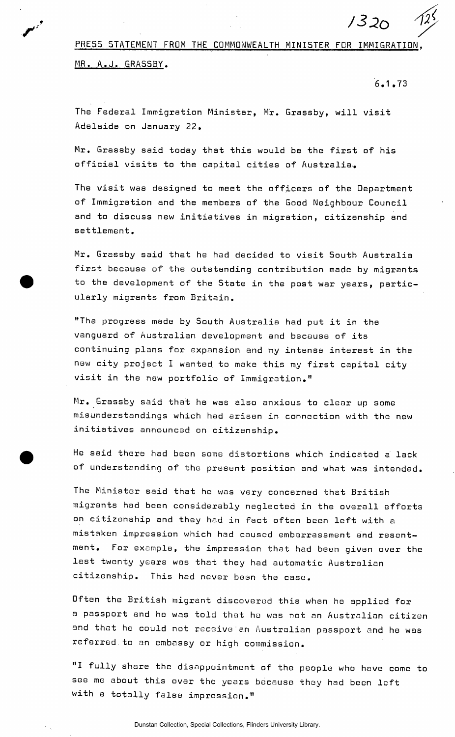PRESS STATEMENT FROM THE COMMONWEALTH MINISTER FOR IMMIGRATION. MR. A.J. GRASSBY.

6.1.73

*Jl2o ^* 

The Federal Immigration Minister, Mr. Grassby, will visit Adelaide on January 22.

Mr. Grassby said today that this would be the first of his official visits to the capital cities of Australia.

The visit was designed to meet the officers of the Department of Immigration and the members of the Good Neighbour Council and to discuss new initiatives in migration, citizenship and settlement.

Mr. Grassby said that he had decided to visit South Australia first because of the outstanding contribution made by migrants to the development of the State in the post war years, particularly migrants from Britain.

"The progress made by South Australia had put it in the vanguard of Australian development and because of its continuing plans for expansion and my intense interest in the new city project I wanted, to make this my first capital city visit in the new portfolio of Immigration."

Mr. Grassby said that he was also anxious to clear up some misunderstandings which had arisen in connection with the new initiatives announced on citizenship.

He said there had been some distortions which indicated a lack of understanding of the present position and what was intended.

The Minister said that he was very concerned that British migrants had been considerably neglected in the overall efforts on citizenship and they had in fact often been left with a mistaken impression which had caused embarrassment and resentment. For example, the impression that had been given over the last twenty years was that they had automatic Australian citizenship. This had never been the case.

Often the British migrant discovered this when he applied for a passport and he was told that he was not an Australian citizen and that he could not receive'an Australian passport and he was referred.to an embassy or high commission.

"I fully share the disappointment of the people who have come to see me about this over the years because they had been left with a totally false impression."